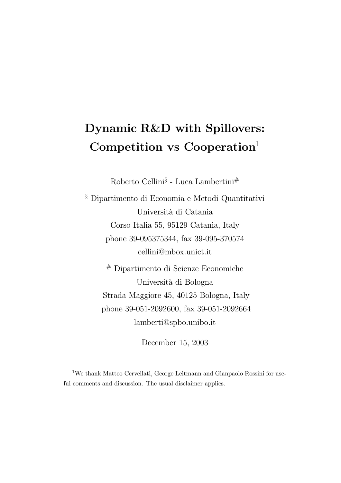# Dynamic R&D with Spillovers: Competition vs Cooperation<sup>1</sup>

Roberto Cellini $\S$  - Luca Lambertini $^{\#}$ 

 $^\S$ Dipartimento di Economia e Metodi Quantitativi Università di Catania Corso Italia 55, 95129 Catania, Italy phone 39-095375344, fax 39-095-370574 cellini@mbox.unict.it

# Dipartimento di Scienze Economiche Universit`a di Bologna Strada Maggiore 45, 40125 Bologna, Italy phone 39-051-2092600, fax 39-051-2092664 lamberti@spbo.unibo.it

December 15, 2003

<sup>1</sup>We thank Matteo Cervellati, George Leitmann and Gianpaolo Rossini for useful comments and discussion. The usual disclaimer applies.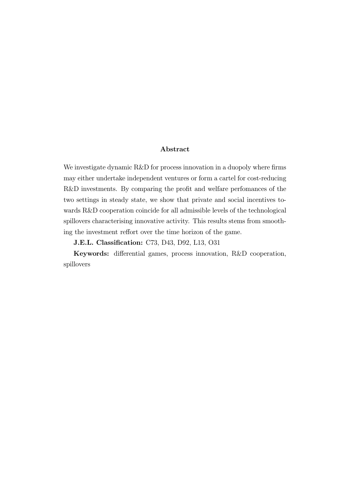#### Abstract

We investigate dynamic R&D for process innovation in a duopoly where firms may either undertake independent ventures or form a cartel for cost-reducing R&D investments. By comparing the profit and welfare perfomances of the two settings in steady state, we show that private and social incentives towards R&D cooperation coincide for all admissible levels of the technological spillovers characterising innovative activity. This results stems from smoothing the investment reffort over the time horizon of the game.

J.E.L. Classification: C73, D43, D92, L13, O31

Keywords: differential games, process innovation, R&D cooperation, spillovers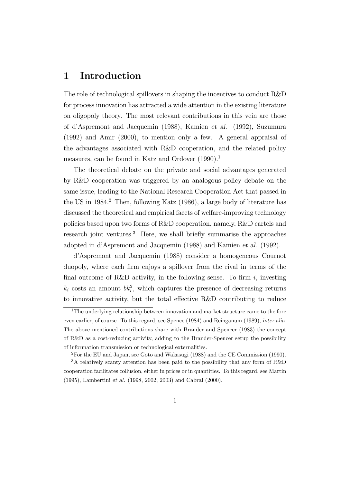## 1 Introduction

The role of technological spillovers in shaping the incentives to conduct R&D for process innovation has attracted a wide attention in the existing literature on oligopoly theory. The most relevant contributions in this vein are those of d'Aspremont and Jacquemin (1988), Kamien et al. (1992), Suzumura (1992) and Amir (2000), to mention only a few. A general appraisal of the advantages associated with R&D cooperation, and the related policy measures, can be found in Katz and Ordover (1990).<sup>1</sup>

The theoretical debate on the private and social advantages generated by R&D cooperation was triggered by an analogous policy debate on the same issue, leading to the National Research Cooperation Act that passed in the US in  $1984<sup>2</sup>$  Then, following Katz (1986), a large body of literature has discussed the theoretical and empirical facets of welfare-improving technology policies based upon two forms of R&D cooperation, namely, R&D cartels and research joint ventures.<sup>3</sup> Here, we shall briefly summarise the approaches adopted in d'Aspremont and Jacquemin (1988) and Kamien et al. (1992).

d'Aspremont and Jacquemin (1988) consider a homogeneous Cournot duopoly, where each firm enjoys a spillover from the rival in terms of the final outcome of R&D activity, in the following sense. To firm  $i$ , investing  $k_i$  costs an amount  $bk_i^2$ , which captures the presence of decreasing returns to innovative activity, but the total effective R&D contributing to reduce

<sup>&</sup>lt;sup>1</sup>The underlying relationship between innovation and market structure came to the fore even earlier, of course. To this regard, see Spence (1984) and Reinganum (1989), inter alia. The above mentioned contributions share with Brander and Spencer (1983) the concept of R&D as a cost-reducing activity, adding to the Brander-Spencer setup the possibility of information transmission or technological externalities.

<sup>2</sup>For the EU and Japan, see Goto and Wakasugi (1988) and the CE Commission (1990).

<sup>3</sup>A relatively scanty attention has been paid to the possibility that any form of R&D cooperation facilitates collusion, either in prices or in quantities. To this regard, see Martin (1995), Lambertini et al. (1998, 2002, 2003) and Cabral (2000).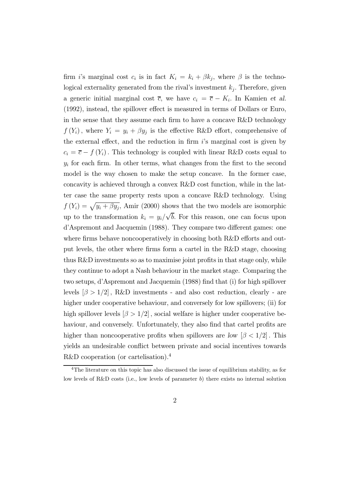firm i's marginal cost  $c_i$  is in fact  $K_i = k_i + \beta k_j$ , where  $\beta$  is the technological externality generated from the rival's investment  $k_i$ . Therefore, given a generic initial marginal cost  $\overline{c}$ , we have  $c_i = \overline{c} - K_i$ . In Kamien et al. (1992), instead, the spillover effect is measured in terms of Dollars or Euro, in the sense that they assume each firm to have a concave R&D technology  $f(Y_i)$ , where  $Y_i = y_i + \beta y_j$  is the effective R&D effort, comprehensive of the external effect, and the reduction in firm  $i$ 's marginal cost is given by  $c_i = \overline{c} - f(Y_i)$ . This technology is coupled with linear R&D costs equal to  $y_i$  for each firm. In other terms, what changes from the first to the second model is the way chosen to make the setup concave. In the former case, concavity is achieved through a convex R&D cost function, while in the latter case the same property rests upon a concave R&D technology. Using  $f(Y_i) = \sqrt{y_i + \beta y_j}$ , Amir (2000) shows that the two models are isomorphic up to the transformation  $k_i = y_i/\sqrt{b}$ . For this reason, one can focus upon d'Aspremont and Jacquemin (1988). They compare two different games: one where firms behave noncooperatively in choosing both R&D efforts and output levels, the other where firms form a cartel in the R&D stage, choosing thus R&D investments so as to maximise joint profits in that stage only, while they continue to adopt a Nash behaviour in the market stage. Comparing the two setups, d'Aspremont and Jacquemin (1988) find that (i) for high spillover levels  $\beta > 1/2$ , R&D investments - and also cost reduction, clearly - are higher under cooperative behaviour, and conversely for low spillovers; (ii) for high spillover levels  $\beta > 1/2$ , social welfare is higher under cooperative behaviour, and conversely. Unfortunately, they also find that cartel profits are higher than noncooperative profits when spillovers are low  $\beta < 1/2$ . This yields an undesirable conflict between private and social incentives towards R&D cooperation (or cartelisation).<sup>4</sup>

<sup>&</sup>lt;sup>4</sup>The literature on this topic has also discussed the issue of equilibrium stability, as for low levels of R&D costs (i.e., low levels of parameter  $b$ ) there exists no internal solution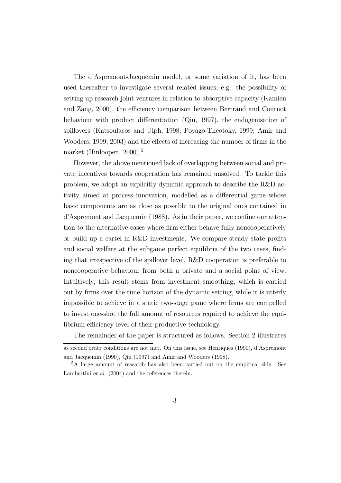The d'Aspremont-Jacquemin model, or some variation of it, has been used thereafter to investigate several related issues, e.g., the possibility of setting up research joint ventures in relation to absorptive capacity (Kamien and Zang, 2000), the efficiency comparison between Bertrand and Cournot behaviour with product differentiation (Qiu, 1997), the endogenisation of spillovers (Katsoulacos and Ulph, 1998; Poyago-Theotoky, 1999; Amir and Wooders, 1999, 2003) and the effects of increasing the number of firms in the market (Hinloopen, 2000).<sup>5</sup>

However, the above mentioned lack of overlapping between social and private incentives towards cooperation has remained unsolved. To tackle this problem, we adopt an explicitly dynamic approach to describe the R&D activity aimed at process innovation, modelled as a differential game whose basic components are as close as possible to the original ones contained in d'Aspremont and Jacquemin (1988). As in their paper, we confine our attention to the alternative cases where firm either behave fully noncooperatively or build up a cartel in R&D investments. We compare steady state profits and social welfare at the subgame perfect equilibria of the two cases, finding that irrespective of the spillover level, R&D cooperation is preferable to noncooperative behaviour from both a private and a social point of view. Intuitively, this result stems from investment smoothing, which is carried out by firms over the time horizon of the dynamic setting, while it is utterly impossible to achieve in a static two-stage game where firms are compelled to invest one-shot the full amount of resources required to achieve the equilibrium efficiency level of their productive technology.

The remainder of the paper is structured as follows. Section 2 illustrates

as second order conditions are not met. On this issue, see Henriques (1990), d'Aspremont and Jacquemin (1990), Qiu (1997) and Amir and Wooders (1998).

<sup>5</sup>A large amount of research has also been carried out on the empirical side. See Lambertini et al. (2004) and the references therein.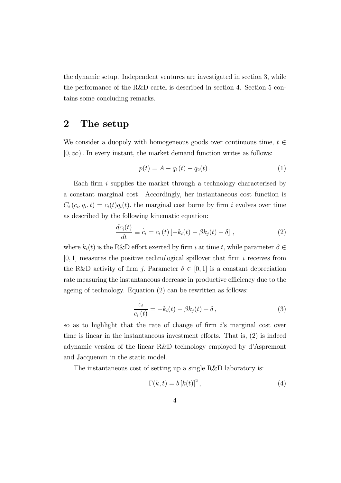the dynamic setup. Independent ventures are investigated in section 3, while the performance of the R&D cartel is described in section 4. Section 5 contains some concluding remarks.

## 2 The setup

We consider a duopoly with homogeneous goods over continuous time,  $t \in$  $[0, \infty)$ . In every instant, the market demand function writes as follows:

$$
p(t) = A - q_1(t) - q_2(t).
$$
 (1)

Each firm  $i$  supplies the market through a technology characterised by a constant marginal cost. Accordingly, her instantaneous cost function is  $C_i(c_i, q_i, t) = c_i(t)q_i(t)$ , the marginal cost borne by firm i evolves over time as described by the following kinematic equation:

$$
\frac{dc_i(t)}{dt} \equiv \dot{c}_i = c_i(t) \left[ -k_i(t) - \beta k_j(t) + \delta \right],\tag{2}
$$

where  $k_i(t)$  is the R&D effort exerted by firm i at time t, while parameter  $\beta \in$  $[0, 1]$  measures the positive technological spillover that firm i receives from the R&D activity of firm j. Parameter  $\delta \in [0,1]$  is a constant depreciation rate measuring the instantaneous decrease in productive efficiency due to the ageing of technology. Equation (2) can be rewritten as follows:

$$
\frac{\dot{c}_i}{c_i(t)} = -k_i(t) - \beta k_j(t) + \delta , \qquad (3)
$$

so as to highlight that the rate of change of firm is marginal cost over time is linear in the instantaneous investment efforts. That is, (2) is indeed adynamic version of the linear R&D technology employed by d'Aspremont and Jacquemin in the static model.

The instantaneous cost of setting up a single R&D laboratory is:

$$
\Gamma(k,t) = b [k(t)]^2, \qquad (4)
$$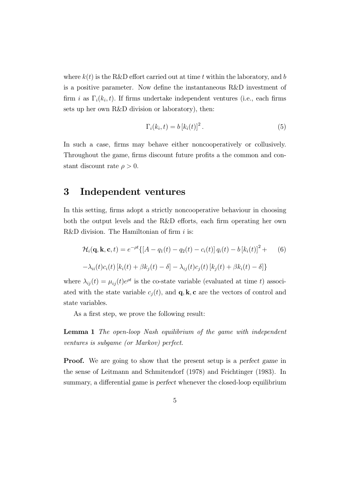where  $k(t)$  is the R&D effort carried out at time t within the laboratory, and b is a positive parameter. Now define the instantaneous R&D investment of firm i as  $\Gamma_i(k_i, t)$ . If firms undertake independent ventures (i.e., each firms sets up her own R&D division or laboratory), then:

$$
\Gamma_i(k_i, t) = b [k_i(t)]^2.
$$
\n(5)

In such a case, firms may behave either noncooperatively or collusively. Throughout the game, firms discount future profits a the common and constant discount rate  $\rho > 0$ .

## 3 Independent ventures

In this setting, firms adopt a strictly noncooperative behaviour in choosing both the output levels and the R&D efforts, each firm operating her own R&D division. The Hamiltonian of firm  $i$  is:

$$
\mathcal{H}_i(\mathbf{q}, \mathbf{k}, \mathbf{c}, t) = e^{-\rho t} \{ [A - q_1(t) - q_2(t) - c_i(t)] q_i(t) - b [k_i(t)]^2 + (6) - \lambda_{ii}(t) c_i(t) [k_i(t) + \beta k_j(t) - \delta] - \lambda_{ij}(t) c_j(t) [k_j(t) + \beta k_i(t) - \delta] \}
$$

where  $\lambda_{ij}(t) = \mu_{ij}(t)e^{\rho t}$  is the co-state variable (evaluated at time t) associated with the state variable  $c_j(t)$ , and  $\mathbf{q}, \mathbf{k}, \mathbf{c}$  are the vectors of control and state variables.

As a first step, we prove the following result:

Lemma 1 The open-loop Nash equilibrium of the game with independent ventures is subgame (or Markov) perfect.

**Proof.** We are going to show that the present setup is a perfect game in the sense of Leitmann and Schmitendorf (1978) and Feichtinger (1983). In summary, a differential game is perfect whenever the closed-loop equilibrium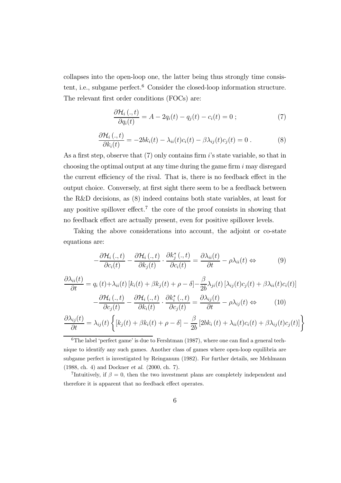collapses into the open-loop one, the latter being thus strongly time consistent, i.e., subgame perfect.<sup>6</sup> Consider the closed-loop information structure. The relevant first order conditions (FOCs) are:

$$
\frac{\partial \mathcal{H}_i\left(.,t\right)}{\partial q_i(t)} = A - 2q_i(t) - q_j(t) - c_i(t) = 0 \tag{7}
$$

$$
\frac{\partial \mathcal{H}_i(.,t)}{\partial k_i(t)} = -2bk_i(t) - \lambda_{ii}(t)c_i(t) - \beta \lambda_{ij}(t)c_j(t) = 0.
$$
 (8)

As a first step, observe that (7) only contains firm i's state variable, so that in choosing the optimal output at any time during the game firm  $i$  may disregard the current efficiency of the rival. That is, there is no feedback effect in the output choice. Conversely, at first sight there seem to be a feedback between the R&D decisions, as (8) indeed contains both state variables, at least for any positive spillover effect.<sup>7</sup> the core of the proof consists in showing that no feedback effect are actually present, even for positive spillover levels.

Taking the above considerations into account, the adjoint or co-state equations are:

$$
-\frac{\partial \mathcal{H}_i\left(.,t\right)}{\partial c_i(t)} - \frac{\partial \mathcal{H}_i\left(.,t\right)}{\partial k_j(t)} \cdot \frac{\partial k_j^*\left(.,t\right)}{\partial c_i(t)} = \frac{\partial \lambda_{ii}(t)}{\partial t} - \rho \lambda_{ii}(t) \Leftrightarrow \tag{9}
$$

$$
\frac{\partial \lambda_{ii}(t)}{\partial t} = q_i(t) + \lambda_{ii}(t) \left[ k_i(t) + \beta k_j(t) + \rho - \delta \right] - \frac{\beta}{2b} \lambda_{ji}(t) \left[ \lambda_{ij}(t) c_j(t) + \beta \lambda_{ii}(t) c_i(t) \right] \n- \frac{\partial \mathcal{H}_i(., t)}{\partial c_j(t)} - \frac{\partial \mathcal{H}_i(., t)}{\partial k_i(t)} \cdot \frac{\partial k_i^*(., t)}{\partial c_j(t)} = \frac{\partial \lambda_{ij}(t)}{\partial t} - \rho \lambda_{ij}(t) \Leftrightarrow (10)
$$

$$
\frac{\partial \lambda_{ij}(t)}{\partial t} = \lambda_{ij}(t) \left\{ \left[ k_j(t) + \beta k_i(t) + \rho - \delta \right] - \frac{\beta}{2b} \left[ 2bk_i(t) + \lambda_{ii}(t)c_i(t) + \beta \lambda_{ij}(t)c_j(t) \right] \right\}
$$

 ${}^{6}$ The label 'perfect game' is due to Fershtman (1987), where one can find a general technique to identify any such games. Another class of games where open-loop equilibria are subgame perfect is investigated by Reinganum (1982). For further details, see Mehlmann (1988, ch. 4) and Dockner et al. (2000, ch. 7).

<sup>7</sup>Intuitively, if  $\beta = 0$ , then the two investment plans are completely independent and therefore it is apparent that no feedback effect operates.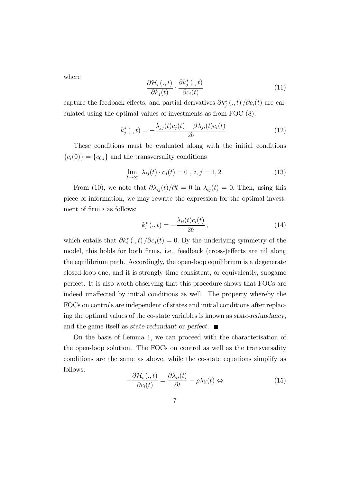where

$$
\frac{\partial \mathcal{H}_i\left(.,t\right)}{\partial k_j(t)} \cdot \frac{\partial k_j^*\left(.,t\right)}{\partial c_i(t)}\tag{11}
$$

capture the feedback effects, and partial derivatives  $\partial k_j^*(.,t) / \partial c_i(t)$  are calculated using the optimal values of investments as from FOC (8):

$$
k_j^*(.,t) = -\frac{\lambda_{jj}(t)c_j(t) + \beta \lambda_{ji}(t)c_i(t)}{2b}.
$$
 (12)

These conditions must be evaluated along with the initial conditions  ${c_i(0)} = {c_{0,i}}$  and the transversality conditions

$$
\lim_{t \to \infty} \lambda_{ij}(t) \cdot c_j(t) = 0, \ i, j = 1, 2. \tag{13}
$$

From (10), we note that  $\partial \lambda_{ij}(t)/\partial t=0$  in  $\lambda_{ij}(t)=0$ . Then, using this piece of information, we may rewrite the expression for the optimal investment of firm  $i$  as follows:

$$
k_i^* (., t) = -\frac{\lambda_{ii}(t)c_i(t)}{2b}, \qquad (14)
$$

which entails that  $\partial k_i^* (.,t) / \partial c_j(t) = 0$ . By the underlying symmetry of the model, this holds for both firms, i.e., feedback (cross-)effects are nil along the equilibrium path. Accordingly, the open-loop equilibrium is a degenerate closed-loop one, and it is strongly time consistent, or equivalently, subgame perfect. It is also worth observing that this procedure shows that FOCs are indeed unaffected by initial conditions as well. The property whereby the FOCs on controls are independent of states and initial conditions after replacing the optimal values of the co-state variables is known as state-redundancy, and the game itself as state-redundant or perfect.  $\blacksquare$ 

On the basis of Lemma 1, we can proceed with the characterisation of the open-loop solution. The FOCs on control as well as the transversality conditions are the same as above, while the co-state equations simplify as follows:

$$
-\frac{\partial \mathcal{H}_i\left(.,t\right)}{\partial c_i(t)} = \frac{\partial \lambda_{ii}(t)}{\partial t} - \rho \lambda_{ii}(t) \Leftrightarrow \tag{15}
$$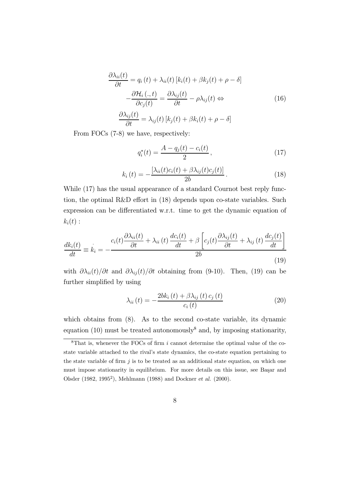$$
\frac{\partial \lambda_{ii}(t)}{\partial t} = q_i(t) + \lambda_{ii}(t) [k_i(t) + \beta k_j(t) + \rho - \delta]
$$

$$
-\frac{\partial \mathcal{H}_i(\cdot, t)}{\partial c_j(t)} = \frac{\partial \lambda_{ij}(t)}{\partial t} - \rho \lambda_{ij}(t) \Leftrightarrow
$$

$$
\frac{\partial \lambda_{ij}(t)}{\partial t} = \lambda_{ij}(t) [k_j(t) + \beta k_i(t) + \rho - \delta]
$$
(16)

From FOCs (7-8) we have, respectively:

$$
q_i^*(t) = \frac{A - q_j(t) - c_i(t)}{2},\tag{17}
$$

$$
k_i(t) = -\frac{\left[\lambda_{ii}(t)c_i(t) + \beta \lambda_{ij}(t)c_j(t)\right]}{2b}.
$$
\n(18)

While  $(17)$  has the usual appearance of a standard Cournot best reply function, the optimal R&D effort in (18) depends upon co-state variables. Such expression can be differentiated w.r.t. time to get the dynamic equation of  $k_i(t)$ :

$$
\frac{dk_i(t)}{dt} \equiv \dot{k}_i = -\frac{c_i(t)\frac{\partial \lambda_{ii}(t)}{\partial t} + \lambda_{ii}(t)\frac{dc_i(t)}{dt} + \beta \left[c_j(t)\frac{\partial \lambda_{ij}(t)}{\partial t} + \lambda_{ij}(t)\frac{dc_j(t)}{dt}\right]}{2b} \tag{19}
$$

with  $\partial \lambda_{ii}(t)/\partial t$  and  $\partial \lambda_{ij}(t)/\partial t$  obtaining from (9-10). Then, (19) can be further simplified by using

$$
\lambda_{ii}(t) = -\frac{2bk_i\left(t\right) + \beta\lambda_{ij}\left(t\right)c_j\left(t\right)}{c_i\left(t\right)}\tag{20}
$$

which obtains from  $(8)$ . As to the second co-state variable, its dynamic equation (10) must be treated autonomously<sup>8</sup> and, by imposing stationarity,

 ${}^{8}$ That is, whenever the FOCs of firm i cannot determine the optimal value of the costate variable attached to the rival's state dynamics, the co-state equation pertaining to the state variable of firm  $j$  is to be treated as an additional state equation, on which one must impose stationarity in equilibrium. For more details on this issue, see Başar and Olsder (1982, 19952), Mehlmann (1988) and Dockner et al. (2000).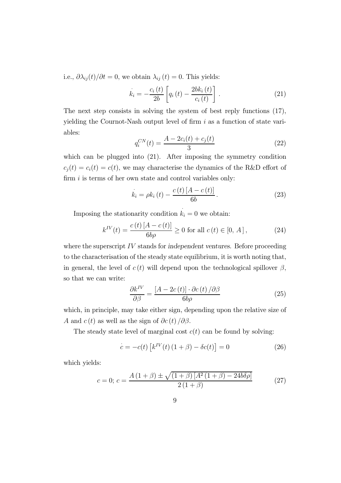i.e.,  $\partial \lambda_{ij}(t)/\partial t=0$ , we obtain  $\lambda_{ij}(t)=0$ . This yields:

$$
\dot{k}_{i} = -\frac{c_{i}(t)}{2b} \left[ q_{i}(t) - \frac{2bk_{i}(t)}{c_{i}(t)} \right].
$$
\n(21)

The next step consists in solving the system of best reply functions (17), yielding the Cournot-Nash output level of firm  $i$  as a function of state variables:

$$
q_i^{CN}(t) = \frac{A - 2c_i(t) + c_j(t)}{3}
$$
\n(22)

which can be plugged into  $(21)$ . After imposing the symmetry condition  $c_j(t) = c_i(t) = c(t)$ , we may characterise the dynamics of the R&D effort of firm  $i$  is terms of her own state and control variables only:

$$
\dot{k}_{i} = \rho k_{i} \left( t \right) - \frac{c \left( t \right) \left[ A - c \left( t \right) \right]}{6b} \,.
$$
\n(23)

Imposing the stationarity condition  $k_i = 0$  we obtain:

$$
k^{IV}(t) = \frac{c(t)[A - c(t)]}{6b\rho} \ge 0 \text{ for all } c(t) \in [0, A], \tag{24}
$$

where the superscript IV stands for independent ventures. Before proceeding to the characterisation of the steady state equilibrium, it is worth noting that, in general, the level of  $c(t)$  will depend upon the technological spillover  $\beta$ , so that we can write:

$$
\frac{\partial k^{IV}}{\partial \beta} = \frac{[A - 2c(t)] \cdot \partial c(t)}{\delta b \rho} \tag{25}
$$

which, in principle, may take either sign, depending upon the relative size of A and  $c(t)$  as well as the sign of  $\partial c(t)/\partial \beta$ .

The steady state level of marginal cost  $c(t)$  can be found by solving:

$$
\dot{c} = -c(t) \left[ k^{IV}(t) \left( 1 + \beta \right) - \delta c(t) \right] = 0 \tag{26}
$$

which yields:

$$
c = 0; c = \frac{A(1+\beta) \pm \sqrt{(1+\beta)[A^2(1+\beta) - 24b\delta\rho]}}{2(1+\beta)}
$$
(27)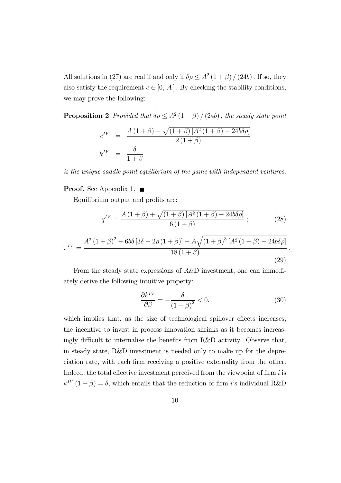All solutions in (27) are real if and only if  $\delta \rho \leq A^2 (1 + \beta) / (24b)$ . If so, they also satisfy the requirement  $c \in [0, A]$ . By checking the stability conditions, we may prove the following:

**Proposition 2** Provided that  $\delta \rho \leq A^2 (1 + \beta) / (24b)$ , the steady state point

$$
c^{IV} = \frac{A(1+\beta) - \sqrt{(1+\beta)[A^2(1+\beta) - 24b\delta\rho]}}{2(1+\beta)}
$$

$$
k^{IV} = \frac{\delta}{1+\beta}
$$

is the unique saddle point equilibrium of the game with independent ventures.

#### **Proof.** See Appendix 1.  $\blacksquare$

Equilibrium output and profits are:

$$
q^{IV} = \frac{A(1+\beta) + \sqrt{(1+\beta)[A^2(1+\beta) - 24b\delta\rho]}}{6(1+\beta)};
$$
 (28)

$$
\pi^{IV} = \frac{A^2 (1+\beta)^2 - 6b\delta [3\delta + 2\rho (1+\beta)] + A\sqrt{(1+\beta)^3 [A^2 (1+\beta) - 24b\delta \rho]}}{18 (1+\beta)},
$$
\n(29)

From the steady state expressions of R&D investment, one can immediately derive the following intuitive property:

$$
\frac{\partial k^{IV}}{\partial \beta} = -\frac{\delta}{(1+\beta)^2} < 0,\tag{30}
$$

which implies that, as the size of technological spillover effects increases, the incentive to invest in process innovation shrinks as it becomes increasingly difficult to internalise the benefits from R&D activity. Observe that, in steady state, R&D investment is needed only to make up for the depreciation rate, with each firm receiving a positive externality from the other. Indeed, the total effective investment perceived from the viewpoint of firm  $i$  is  $k^{IV}$   $(1 + \beta) = \delta$ , which entails that the reduction of firm i's individual R&D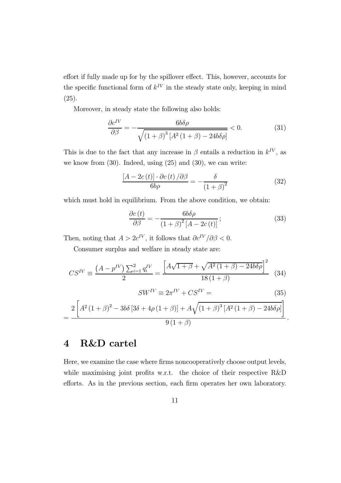effort if fully made up for by the spillover effect. This, however, accounts for the specific functional form of  $k^{IV}$  in the steady state only, keeping in mind (25).

Moreover, in steady state the following also holds:

$$
\frac{\partial c^{IV}}{\partial \beta} = -\frac{6b\delta\rho}{\sqrt{\left(1+\beta\right)^3\left[A^2\left(1+\beta\right) - 24b\delta\rho\right]}} < 0. \tag{31}
$$

This is due to the fact that any increase in  $\beta$  entails a reduction in  $k^{IV}$ , as we know from (30). Indeed, using (25) and (30), we can write:

$$
\frac{[A - 2c(t)] \cdot \partial c(t)}{\delta b \rho} = -\frac{\delta}{(1 + \beta)^2} \tag{32}
$$

which must hold in equilibrium. From the above condition, we obtain:

$$
\frac{\partial c(t)}{\partial \beta} = -\frac{6b\delta\rho}{\left(1+\beta\right)^2 \left[A-2c(t)\right]};\tag{33}
$$

Then, noting that  $A > 2c^{IV}$ , it follows that  $\partial c^{IV}/\partial \beta < 0$ .

Consumer surplus and welfare in steady state are:

$$
CS^{IV} \equiv \frac{\left(A - p^{IV}\right)\sum_{i=1}^{2} q_i^{IV}}{2} = \frac{\left[A\sqrt{1+\beta} + \sqrt{A^2\left(1+\beta\right) - 24b\delta\rho}\right]^2}{18\left(1+\beta\right)} \tag{34}
$$

$$
SW^{IV} \equiv 2\pi^{IV} + CS^{IV} = \tag{35}
$$

$$
=\frac{2\left[A^2\left(1+\beta\right)^2-3b\delta\left[3\delta+4\rho\left(1+\beta\right)\right]+A\sqrt{\left(1+\beta\right)^3\left[A^2\left(1+\beta\right)-24b\delta\rho\right]}\right]}{9\left(1+\beta\right)}.
$$

## 4 R&D cartel

Here, we examine the case where firms noncooperatively choose output levels, while maximising joint profits w.r.t. the choice of their respective R&D efforts. As in the previous section, each firm operates her own laboratory.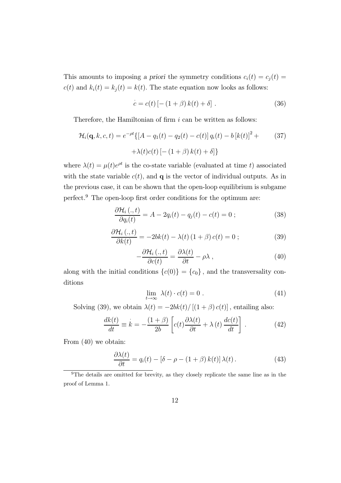This amounts to imposing a priori the symmetry conditions  $c_i(t) = c_j(t) =$  $c(t)$  and  $k_i(t) = k_j(t) = k(t)$ . The state equation now looks as follows:

$$
\dot{c} = c(t) \left[ - (1 + \beta) k(t) + \delta \right]. \tag{36}
$$

Therefore, the Hamiltonian of firm  $i$  can be written as follows:

$$
\mathcal{H}_i(\mathbf{q}, k, c, t) = e^{-\rho t} \{ [A - q_1(t) - q_2(t) - c(t)] q_i(t) - b [k(t)]^2 + (37) + \lambda(t)c(t) [-(1+\beta) k(t) + \delta] \}
$$

where  $\lambda(t) = \mu(t)e^{\rho t}$  is the co-state variable (evaluated at time t) associated with the state variable  $c(t)$ , and  $q$  is the vector of individual outputs. As in the previous case, it can be shown that the open-loop equilibrium is subgame perfect.<sup>9</sup> The open-loop first order conditions for the optimum are:

$$
\frac{\partial \mathcal{H}_i(.,t)}{\partial q_i(t)} = A - 2q_i(t) - q_j(t) - c(t) = 0 ; \qquad (38)
$$

$$
\frac{\partial \mathcal{H}_i(.,t)}{\partial k(t)} = -2bk(t) - \lambda(t) (1+\beta) c(t) = 0 ; \qquad (39)
$$

$$
-\frac{\partial \mathcal{H}_i\left(.,t\right)}{\partial c(t)} = \frac{\partial \lambda(t)}{\partial t} - \rho \lambda\,,\tag{40}
$$

along with the initial conditions  ${c(0)} = {c_0}$ , and the transversality conditions

$$
\lim_{t \to \infty} \lambda(t) \cdot c(t) = 0 \tag{41}
$$

Solving (39), we obtain  $\lambda(t) = -2bk(t)/[(1+\beta)c(t)]$ , entailing also:

$$
\frac{dk(t)}{dt} \equiv \dot{k} = -\frac{(1+\beta)}{2b} \left[ c(t) \frac{\partial \lambda(t)}{\partial t} + \lambda(t) \frac{dc(t)}{dt} \right].
$$
 (42)

From (40) we obtain:

$$
\frac{\partial \lambda(t)}{\partial t} = q_i(t) - [\delta - \rho - (1 + \beta) k(t)] \lambda(t).
$$
 (43)

<sup>&</sup>lt;sup>9</sup>The details are omitted for brevity, as they closely replicate the same line as in the proof of Lemma 1.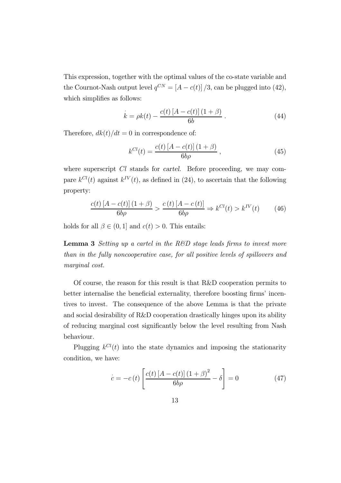This expression, together with the optimal values of the co-state variable and the Cournot-Nash output level  $q^{CN} = [A - c(t)]/3$ , can be plugged into (42), which simplifies as follows:

$$
k = \rho k(t) - \frac{c(t)[A - c(t)](1 + \beta)}{6b}.
$$
 (44)

Therefore,  $dk(t)/dt = 0$  in correspondence of:

$$
k^{Cl}(t) = \frac{c(t)[A - c(t)](1 + \beta)}{6b\rho}, \qquad (45)
$$

where superscript Cl stands for cartel. Before proceeding, we may compare  $k^{Cl}(t)$  against  $k^{IV}(t)$ , as defined in (24), to ascertain that the following property:

$$
\frac{c(t)[A-c(t)](1+\beta)}{6b\rho} > \frac{c(t)[A-c(t)]}{6b\rho} \Rightarrow k^{Cl}(t) > k^{IV}(t) \tag{46}
$$

holds for all  $\beta \in (0, 1]$  and  $c(t) > 0$ . This entails:

**Lemma 3** Setting up a cartel in the R&D stage leads firms to invest more than in the fully noncooperative case, for all positive levels of spillovers and marginal cost.

Of course, the reason for this result is that R&D cooperation permits to better internalise the beneficial externality, therefore boosting firms' incentives to invest. The consequence of the above Lemma is that the private and social desirability of R&D cooperation drastically hinges upon its ability of reducing marginal cost significantly below the level resulting from Nash behaviour.

Plugging  $k^{Cl}(t)$  into the state dynamics and imposing the stationarity condition, we have:

$$
\dot{c} = -c(t) \left[ \frac{c(t) \left[ A - c(t) \right] \left( 1 + \beta \right)^2}{6b\rho} - \delta \right] = 0 \tag{47}
$$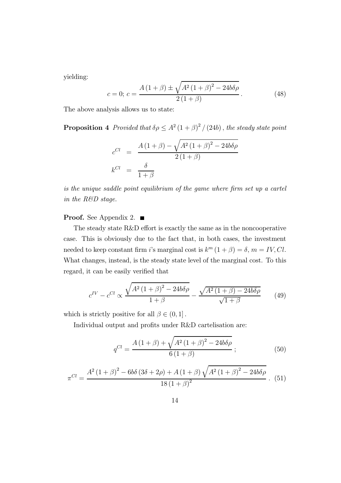yielding:

$$
c = 0; c = \frac{A(1+\beta) \pm \sqrt{A^2(1+\beta)^2 - 24b\delta\rho}}{2(1+\beta)}.
$$
 (48)

The above analysis allows us to state:

**Proposition 4** Provided that  $\delta \rho \leq A^2 (1 + \beta)^2 / (24b)$ , the steady state point

$$
c^{Cl} = \frac{A(1+\beta) - \sqrt{A^2(1+\beta)^2 - 24b\delta\rho}}{2(1+\beta)}
$$

$$
k^{Cl} = \frac{\delta}{1+\beta}
$$

is the unique saddle point equilibrium of the game where firm set up a cartel in the R&D stage.

#### **Proof.** See Appendix 2.  $\blacksquare$

The steady state R&D effort is exactly the same as in the noncooperative case. This is obviously due to the fact that, in both cases, the investment needed to keep constant firm i's marginal cost is  $k^m (1 + \beta) = \delta$ ,  $m = IV$ , Cl. What changes, instead, is the steady state level of the marginal cost. To this regard, it can be easily verified that

$$
c^{IV} - c^{Cl} \propto \frac{\sqrt{A^2 (1+\beta)^2 - 24b\delta\rho}}{1+\beta} - \frac{\sqrt{A^2 (1+\beta) - 24b\delta\rho}}{\sqrt{1+\beta}}
$$
(49)

which is strictly positive for all  $\beta \in (0,1]$ .

Individual output and profits under R&D cartelisation are:

$$
q^{Cl} = \frac{A(1+\beta) + \sqrt{A^2(1+\beta)^2 - 24b\delta\rho}}{6(1+\beta)} \, ; \tag{50}
$$

$$
\pi^{Cl} = \frac{A^2 (1+\beta)^2 - 6b\delta (3\delta + 2\rho) + A (1+\beta) \sqrt{A^2 (1+\beta)^2 - 24b\delta\rho}}{18 (1+\beta)^2}.
$$
 (51)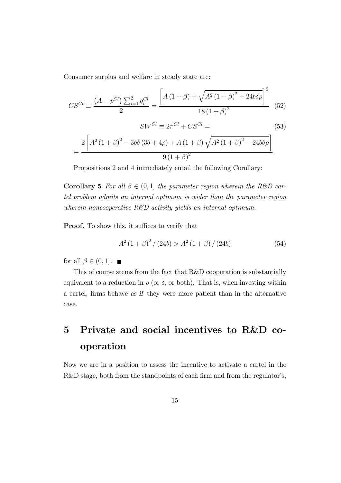Consumer surplus and welfare in steady state are:

$$
CS^{Cl} \equiv \frac{\left(A - p^{Cl}\right)\sum_{i=1}^{2} q_i^{Cl}}{2} = \frac{\left[A\left(1 + \beta\right) + \sqrt{A^2\left(1 + \beta\right)^2 - 24b\delta\rho}\right]^2}{18\left(1 + \beta\right)^2} \tag{52}
$$

$$
SW^{Cl} \equiv 2\pi^{Cl} + CS^{Cl} = \tag{53}
$$

$$
=\frac{2\left[A^2\left(1+\beta\right)^2-3b\delta\left(3\delta+4\rho\right)+A\left(1+\beta\right)\sqrt{A^2\left(1+\beta\right)^2-24b\delta\rho}\right]}{9\left(1+\beta\right)^2}.
$$

Propositions 2 and 4 immediately entail the following Corollary:

**Corollary 5** For all  $\beta \in (0,1]$  the parameter region wherein the R&D cartel problem admits an internal optimum is wider than the parameter region wherein noncooperative  $R\&D$  activity yields an internal optimum.

Proof. To show this, it suffices to verify that

$$
A^{2}(1+\beta)^{2}/(24b) > A^{2}(1+\beta)/(24b)
$$
 (54)

for all  $\beta \in (0, 1]$ .

This of course stems from the fact that R&D cooperation is substantially equivalent to a reduction in  $\rho$  (or  $\delta$ , or both). That is, when investing within a cartel, firms behave as if they were more patient than in the alternative case.

## 5 Private and social incentives to R&D cooperation

Now we are in a position to assess the incentive to activate a cartel in the R&D stage, both from the standpoints of each firm and from the regulator's,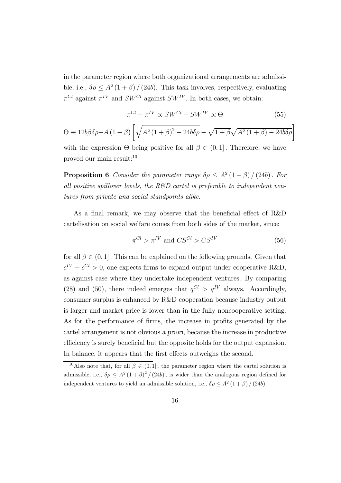in the parameter region where both organizational arrangements are admissible, i.e.,  $\delta \rho \leq A^2 (1+\beta)/(24b)$ . This task involves, respectively, evaluating  $\pi^{Cl}$  against  $\pi^{IV}$  and  $SW^{Cl}$  against  $SW^{IV}$ . In both cases, we obtain:

$$
\pi^{Cl} - \pi^{IV} \propto SW^{Cl} - SW^{IV} \propto \Theta
$$
\n
$$
\Theta \equiv 12b\beta\delta\rho + A\left(1+\beta\right) \left[\sqrt{A^2\left(1+\beta\right)^2 - 24b\delta\rho} - \sqrt{1+\beta\sqrt{A^2\left(1+\beta\right) - 24b\delta\rho}}\right]
$$
\nand

\n
$$
M = 0 \quad \text{and} \quad M = 0 \quad \text{and} \quad M = 0 \quad \text{and} \quad M = 0 \quad \text{and} \quad M = 0 \quad \text{and} \quad M = 0 \quad \text{and} \quad M = 0 \quad \text{and} \quad M = 0 \quad \text{and} \quad M = 0 \quad \text{and} \quad M = 0 \quad \text{and} \quad M = 0 \quad \text{and} \quad M = 0 \quad \text{and} \quad M = 0 \quad \text{and} \quad M = 0 \quad \text{and} \quad M = 0 \quad \text{and} \quad M = 0 \quad \text{and} \quad M = 0 \quad \text{and} \quad M = 0 \quad \text{and} \quad M = 0 \quad \text{and} \quad M = 0 \quad \text{and} \quad M = 0 \quad \text{and} \quad M = 0 \quad \text{and} \quad M = 0 \quad \text{and} \quad M = 0 \quad \text{and} \quad M = 0 \quad \text{and} \quad M = 0 \quad \text{and} \quad M = 0 \quad \text{and} \quad M = 0 \quad \text{and} \quad M = 0 \quad \text{and} \quad M = 0 \quad \text{and} \quad M = 0 \quad \text{and} \quad M = 0 \quad \text{and} \quad M = 0 \quad \text{and} \quad M = 0 \quad \text{and} \quad M = 0 \quad \text{and} \quad M = 0 \quad \text{and} \quad M = 0 \quad \text{and} \quad M = 0 \quad \text{and} \quad M = 0 \quad \text{and} \quad M = 0 \quad \text{and} \quad M = 0 \quad \text{and} \quad M = 0 \quad \text{and} \quad M = 0 \quad \text{and} \quad M = 0 \quad \text{and} \quad M = 0 \quad \text{and} \quad M = 0 \quad \text{and} \quad M = 0 \quad \text{and} \quad M = 0 \quad \text
$$

with the expression  $\Theta$  being positive for all  $\beta \in (0,1]$ . Therefore, we have proved our main result:<sup>10</sup>

**Proposition 6** Consider the parameter range  $\delta \rho \leq A^2 (1 + \beta) / (24b)$ . For all positive spillover levels, the R&D cartel is preferable to independent ventures from private and social standpoints alike.

As a final remark, we may observe that the beneficial effect of R&D cartelisation on social welfare comes from both sides of the market, since:

$$
\pi^{Cl} > \pi^{IV} \text{ and } CS^{Cl} > CS^{IV} \tag{56}
$$

for all  $\beta \in (0, 1]$ . This can be explained on the following grounds. Given that  $c^{IV} - c^{Cl} > 0$ , one expects firms to expand output under cooperative R&D, as against case where they undertake independent ventures. By comparing (28) and (50), there indeed emerges that  $q^{Cl} > q^{IV}$  always. Accordingly, consumer surplus is enhanced by R&D cooperation because industry output is larger and market price is lower than in the fully noncooperative setting. As for the performance of firms, the increase in profits generated by the cartel arrangement is not obvious a priori, because the increase in productive efficiency is surely beneficial but the opposite holds for the output expansion. In balance, it appears that the first effects outweighs the second.

<sup>&</sup>lt;sup>10</sup>Also note that, for all  $\beta \in (0, 1]$ , the parameter region where the cartel solution is admissible, i.e.,  $\delta \rho \leq A^2 (1+\beta)^2 / (24b)$ , is wider than the analogous region defined for independent ventures to yield an admissible solution, i.e.,  $\delta \rho \leq A^2 (1 + \beta) / (24b)$ .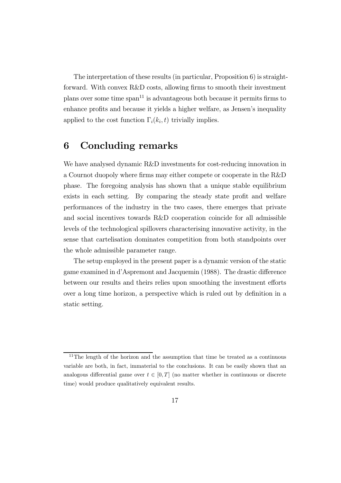The interpretation of these results (in particular, Proposition 6) is straightforward. With convex R&D costs, allowing firms to smooth their investment plans over some time  $\text{span}^{11}$  is advantageous both because it permits firms to enhance profits and because it yields a higher welfare, as Jensen's inequality applied to the cost function  $\Gamma_i(k_i, t)$  trivially implies.

## 6 Concluding remarks

We have analysed dynamic R&D investments for cost-reducing innovation in a Cournot duopoly where firms may either compete or cooperate in the R&D phase. The foregoing analysis has shown that a unique stable equilibrium exists in each setting. By comparing the steady state profit and welfare performances of the industry in the two cases, there emerges that private and social incentives towards R&D cooperation coincide for all admissible levels of the technological spillovers characterising innovative activity, in the sense that cartelisation dominates competition from both standpoints over the whole admissible parameter range.

The setup employed in the present paper is a dynamic version of the static game examined in d'Aspremont and Jacquemin (1988). The drastic difference between our results and theirs relies upon smoothing the investment efforts over a long time horizon, a perspective which is ruled out by definition in a static setting.

 $11$ The length of the horizon and the assumption that time be treated as a continuous variable are both, in fact, immaterial to the conclusions. It can be easily shown that an analogous differential game over  $t \in [0, T]$  (no matter whether in continuous or discrete time) would produce qualitatively equivalent results.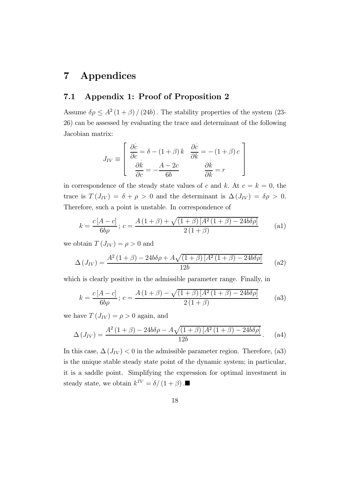## 7 Appendices

### 7.1 Appendix 1: Proof of Proposition 2

Assume  $\delta \rho \leq A^2 (1 + \beta) / (24b)$ . The stability properties of the system (23-26) can be assessed by evaluating the trace and determinant of the following Jacobian matrix:

$$
J_{IV} \equiv \begin{bmatrix} \frac{\partial c}{\partial c} = \delta - (1+\beta) k & \frac{\partial c}{\partial k} = -(1+\beta) c \\ \frac{\partial k}{\partial c} = -\frac{A-2c}{6b} & \frac{\partial k}{\partial k} = r \end{bmatrix}
$$

in correspondence of the steady state values of c and k. At  $c = k = 0$ , the trace is  $T(J_{IV}) = \delta + \rho > 0$  and the determinant is  $\Delta(J_{IV}) = \delta \rho > 0$ . Therefore, such a point is unstable. In correspondence of

$$
k = \frac{c[A - c]}{6b\rho}; \ c = \frac{A(1 + \beta) + \sqrt{(1 + \beta)[A^2(1 + \beta) - 24b\delta\rho]}}{2(1 + \beta)}
$$
(a1)

we obtain  $T(J_{IV}) = \rho > 0$  and

$$
\Delta\left(J_{IV}\right) = \frac{A^2\left(1+\beta\right) - 24b\delta\rho + A\sqrt{\left(1+\beta\right)\left[A^2\left(1+\beta\right) - 24b\delta\rho\right]}}{12b} \tag{a2}
$$

which is clearly positive in the admissible parameter range. Finally, in

$$
k = \frac{c[A - c]}{6b\rho}; \ c = \frac{A(1 + \beta) - \sqrt{(1 + \beta)[A^2(1 + \beta) - 24b\delta\rho]}}{2(1 + \beta)}
$$
(a3)

we have  $T(J_{IV}) = \rho > 0$  again, and

$$
\Delta (J_{IV}) = \frac{A^2 (1+\beta) - 24b\delta\rho - A\sqrt{(1+\beta)\left[A^2 (1+\beta) - 24b\delta\rho\right]}}{12b}.
$$
 (a4)

In this case,  $\Delta(J_{IV})$  < 0 in the admissible parameter region. Therefore, (a3) is the unique stable steady state point of the dynamic system; in particular, it is a saddle point. Simplifying the expression for optimal investment in steady state, we obtain  $k^{IV} = \delta/(1+\beta)$ .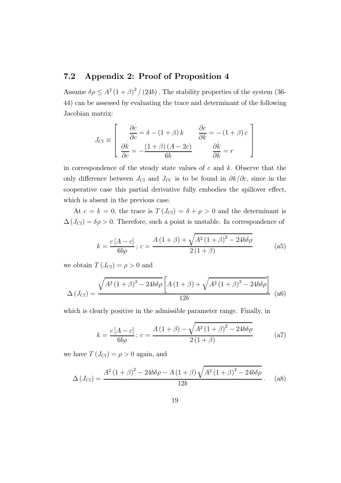#### 7.2 Appendix 2: Proof of Proposition 4

Assume  $\delta \rho \leq A^2 (1+\beta)^2 / (24b)$ . The stability properties of the system (36-44) can be assessed by evaluating the trace and determinant of the following Jacobian matrix:

$$
J_{Cl} \equiv \begin{bmatrix} \frac{\partial c}{\partial c} = \delta - (1+\beta) k & \frac{\partial c}{\partial k} = -(1+\beta) c \\ \frac{\partial k}{\partial c} = -\frac{(1+\beta)(A-2c)}{6b} & \frac{\partial k}{\partial k} = r \end{bmatrix}
$$

in correspondence of the steady state values of  $c$  and  $k$ . Observe that the only difference between  $J_{Cl}$  and  $J_{IV}$  is to be found in  $\partial k/\partial c$ , since in the cooperative case this partial derivative fully embodies the spillover effect, which is absent in the previous case.

At  $c = k = 0$ , the trace is  $T(J_{Cl}) = \delta + \rho > 0$  and the determinant is  $\Delta(J_{Cl}) = \delta \rho > 0$ . Therefore, such a point is unstable. In correspondence of

$$
k = \frac{c[A - c]}{6b\rho}; \ c = \frac{A(1 + \beta) + \sqrt{A^2(1 + \beta)^2 - 24b\delta\rho}}{2(1 + \beta)}
$$
 (a5)

we obtain  $T(J_{Cl}) = \rho > 0$  and

$$
\Delta (J_{Cl}) = \frac{\sqrt{A^2 (1+\beta)^2 - 24b \delta \rho \left[ A \left( 1 + \beta \right) + \sqrt{A^2 (1 + \beta)^2 - 24b \delta \rho} \right]}}{12b} \tag{a6}
$$

which is clearly positive in the admissible parameter range. Finally, in

$$
k = \frac{c[A - c]}{6b\rho}; \ c = \frac{A(1 + \beta) - \sqrt{A^2(1 + \beta)^2 - 24b\delta\rho}}{2(1 + \beta)}
$$
 (a7)

we have  $T(J_{Cl}) = \rho > 0$  again, and

$$
\Delta (J_{Cl}) = \frac{A^2 (1+\beta)^2 - 24b\delta \rho - A (1+\beta) \sqrt{A^2 (1+\beta)^2 - 24b\delta \rho}}{12b}.
$$
 (a8)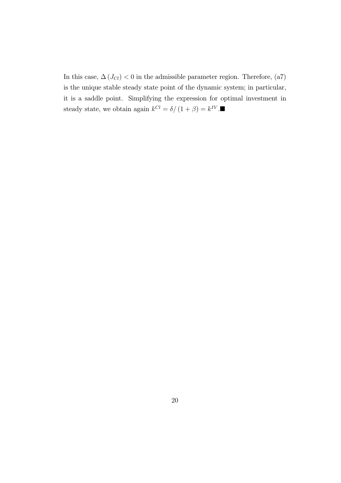In this case,  $\Delta\left(J_{Cl}\right)<0$  in the admissible parameter region. Therefore, (a7) is the unique stable steady state point of the dynamic system; in particular, it is a saddle point. Simplifying the expression for optimal investment in steady state, we obtain again  $k^{Cl} = \delta / \left( 1 + \beta \right) = k^{IV}.$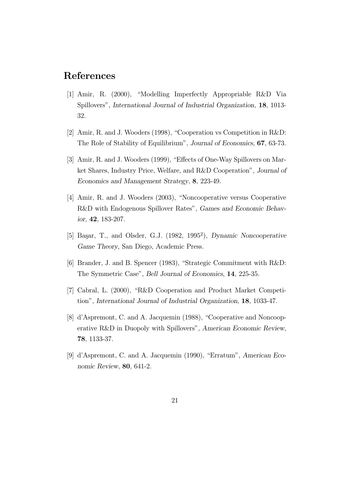## References

- [1] Amir, R. (2000), "Modelling Imperfectly Appropriable R&D Via Spillovers", International Journal of Industrial Organization, 18, 1013- 32.
- [2] Amir, R. and J. Wooders (1998), "Cooperation vs Competition in R&D: The Role of Stability of Equilibrium", Journal of Economics, 67, 63-73.
- [3] Amir, R. and J. Wooders (1999), "Effects of One-Way Spillovers on Market Shares, Industry Price, Welfare, and R&D Cooperation", Journal of Economics and Management Strategy, 8, 223-49.
- [4] Amir, R. and J. Wooders (2003), "Noncooperative versus Cooperative R&D with Endogenous Spillover Rates", Games and Economic Behavior, 42, 183-207.
- [5] Başar, T., and Olsder, G.J. (1982, 1995<sup>2</sup>), Dynamic Noncooperative Game Theory, San Diego, Academic Press.
- [6] Brander, J. and B. Spencer (1983), "Strategic Commitment with R&D: The Symmetric Case", Bell Journal of Economics, 14, 225-35.
- [7] Cabral, L. (2000), "R&D Cooperation and Product Market Competition", International Journal of Industrial Organization, 18, 1033-47.
- [8] d'Aspremont, C. and A. Jacquemin (1988), "Cooperative and Noncooperative R&D in Duopoly with Spillovers", American Economic Review, 78, 1133-37.
- [9] d'Aspremont, C. and A. Jacquemin (1990), "Erratum", American Economic Review, 80, 641-2.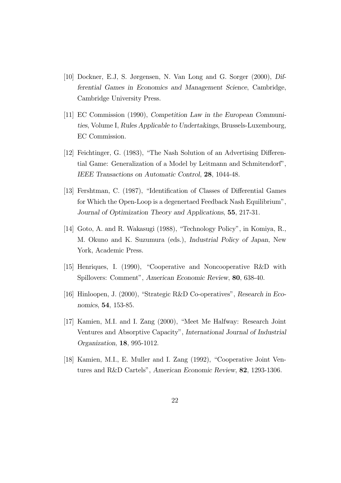- [10] Dockner, E.J, S. Jørgensen, N. Van Long and G. Sorger (2000), Differential Games in Economics and Management Science, Cambridge, Cambridge University Press.
- [11] EC Commission (1990), Competition Law in the European Communities, Volume I, Rules Applicable to Undertakings, Brussels-Luxembourg, EC Commission.
- [12] Feichtinger, G. (1983), "The Nash Solution of an Advertising Differential Game: Generalization of a Model by Leitmann and Schmitendorf", IEEE Transactions on Automatic Control, 28, 1044-48.
- [13] Fershtman, C. (1987), "Identification of Classes of Differential Games for Which the Open-Loop is a degenertaed Feedback Nash Equilibrium", Journal of Optimization Theory and Applications, 55, 217-31.
- [14] Goto, A. and R. Wakasugi (1988), "Technology Policy", in Komiya, R., M. Okuno and K. Suzumura (eds.), Industrial Policy of Japan, New York, Academic Press.
- [15] Henriques, I. (1990), "Cooperative and Noncooperative R&D with Spillovers: Comment", American Economic Review, 80, 638-40.
- [16] Hinloopen, J. (2000), "Strategic R&D Co-operatives", Research in Economics, 54, 153-85.
- [17] Kamien, M.I. and I. Zang (2000), "Meet Me Halfway: Research Joint Ventures and Absorptive Capacity", International Journal of Industrial Organization, 18, 995-1012.
- [18] Kamien, M.I., E. Muller and I. Zang (1992), "Cooperative Joint Ventures and R&D Cartels", American Economic Review, 82, 1293-1306.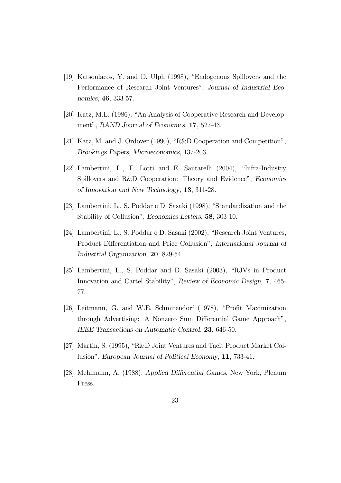- [19] Katsoulacos, Y. and D. Ulph (1998), "Endogenous Spillovers and the Performance of Research Joint Ventures", Journal of Industrial Economics, 46, 333-57.
- [20] Katz, M.L. (1986), "An Analysis of Cooperative Research and Development", RAND Journal of Economics, 17, 527-43.
- [21] Katz, M. and J. Ordover (1990), "R&D Cooperation and Competition", Brookings Papers, Microeconomics, 137-203.
- [22] Lambertini, L., F. Lotti and E. Santarelli (2004), "Infra-Industry Spillovers and R&D Cooperation: Theory and Evidence", Economics of Innovation and New Technology, 13, 311-28.
- [23] Lambertini, L., S. Poddar e D. Sasaki (1998), "Standardization and the Stability of Collusion", Economics Letters, 58, 303-10.
- [24] Lambertini, L., S. Poddar e D. Sasaki (2002), "Research Joint Ventures, Product Differentiation and Price Collusion", International Journal of Industrial Organization, 20, 829-54.
- [25] Lambertini, L., S. Poddar and D. Sasaki (2003), "RJVs in Product Innovation and Cartel Stability", Review of Economic Design, 7, 465- 77.
- [26] Leitmann, G. and W.E. Schmitendorf (1978), "Profit Maximization through Advertising: A Nonzero Sum Differential Game Approach", IEEE Transactions on Automatic Control, 23, 646-50.
- [27] Martin, S. (1995), "R&D Joint Ventures and Tacit Product Market Collusion", European Journal of Political Economy, 11, 733-41.
- [28] Mehlmann, A. (1988), Applied Differential Games, New York, Plenum Press.